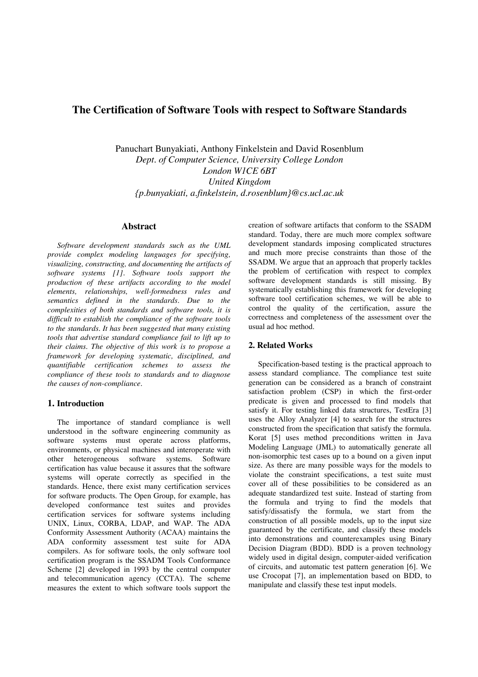# **The Certification of Software Tools with respect to Software Standards**

Panuchart Bunyakiati, Anthony Finkelstein and David Rosenblum *Dept. of Computer Science, University College London London W1CE 6BT United Kingdom {p.bunyakiati, a.finkelstein, d.rosenblum}@cs.ucl.ac.uk*

# **Abstract**

*Software development standards such as the UML provide complex modeling languages for specifying, visualizing, constructing, and documenting the artifacts of software systems [1]. Software tools support the production of these artifacts according to the model elements, relationships, well-formedness rules and semantics defined in the standards. Due to the complexities of both standards and software tools, it is difficult to establish the compliance of the software tools to the standards. It has been suggested that many existing tools that advertise standard compliance fail to lift up to their claims. The objective of this work is to propose a framework for developing systematic, disciplined, and quantifiable certification schemes to assess the compliance of these tools to standards and to diagnose the causes of non-compliance.*

## **1. Introduction**

The importance of standard compliance is well understood in the software engineering community as software systems must operate across platforms, environments, or physical machines and interoperate with other heterogeneous software systems. Software certification has value because it assures that the software systems will operate correctly as specified in the standards. Hence, there exist many certification services for software products. The Open Group, for example, has developed conformance test suites and provides certification services for software systems including UNIX, Linux, CORBA, LDAP, and WAP. The ADA Conformity Assessment Authority (ACAA) maintains the ADA conformity assessment test suite for ADA compilers. As for software tools, the only software tool certification program is the SSADM Tools Conformance Scheme [2] developed in 1993 by the central computer and telecommunication agency (CCTA). The scheme measures the extent to which software tools support the creation of software artifacts that conform to the SSADM standard. Today, there are much more complex software development standards imposing complicated structures and much more precise constraints than those of the SSADM. We argue that an approach that properly tackles the problem of certification with respect to complex software development standards is still missing. By systematically establishing this framework for developing software tool certification schemes, we will be able to control the quality of the certification, assure the correctness and completeness of the assessment over the usual ad hoc method.

## **2. Related Works**

Specification-based testing is the practical approach to assess standard compliance. The compliance test suite generation can be considered as a branch of constraint satisfaction problem (CSP) in which the first-order predicate is given and processed to find models that satisfy it. For testing linked data structures, TestEra [3] uses the Alloy Analyzer [4] to search for the structures constructed from the specification that satisfy the formula. Korat [5] uses method preconditions written in Java Modeling Language (JML) to automatically generate all non-isomorphic test cases up to a bound on a given input size. As there are many possible ways for the models to violate the constraint specifications, a test suite must cover all of these possibilities to be considered as an adequate standardized test suite. Instead of starting from the formula and trying to find the models that satisfy/dissatisfy the formula, we start from the construction of all possible models, up to the input size guaranteed by the certificate, and classify these models into demonstrations and counterexamples using Binary Decision Diagram (BDD). BDD is a proven technology widely used in digital design, computer-aided verification of circuits, and automatic test pattern generation [6]. We use Crocopat [7], an implementation based on BDD, to manipulate and classify these test input models.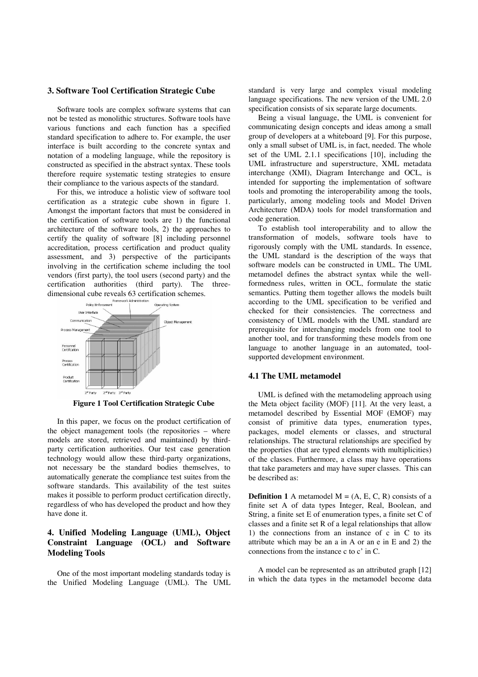#### **3. Software Tool Certification Strategic Cube**

Software tools are complex software systems that can not be tested as monolithic structures. Software tools have various functions and each function has a specified standard specification to adhere to. For example, the user interface is built according to the concrete syntax and notation of a modeling language, while the repository is constructed as specified in the abstract syntax. These tools therefore require systematic testing strategies to ensure their compliance to the various aspects of the standard.

For this, we introduce a holistic view of software tool certification as a strategic cube shown in figure 1. Amongst the important factors that must be considered in the certification of software tools are 1) the functional architecture of the software tools, 2) the approaches to certify the quality of software [8] including personnel accreditation, process certification and product quality assessment, and 3) perspective of the participants involving in the certification scheme including the tool vendors (first party), the tool users (second party) and the certification authorities (third party). The three-



**Figure 1 Tool Certification Strategic Cube**

In this paper, we focus on the product certification of the object management tools (the repositories – where models are stored, retrieved and maintained) by thirdparty certification authorities. Our test case generation technology would allow these third-party organizations, not necessary be the standard bodies themselves, to automatically generate the compliance test suites from the software standards. This availability of the test suites makes it possible to perform product certification directly, regardless of who has developed the product and how they have done it.

# **4. Unified Modeling Language (UML), Object Constraint Language (OCL) and Software Modeling Tools**

One of the most important modeling standards today is the Unified Modeling Language (UML). The UML standard is very large and complex visual modeling language specifications. The new version of the UML 2.0 specification consists of six separate large documents.

Being a visual language, the UML is convenient for communicating design concepts and ideas among a small group of developers at a whiteboard [9]. For this purpose, only a small subset of UML is, in fact, needed. The whole set of the UML 2.1.1 specifications [10], including the UML infrastructure and superstructure, XML metadata interchange (XMI), Diagram Interchange and OCL, is intended for supporting the implementation of software tools and promoting the interoperability among the tools, particularly, among modeling tools and Model Driven Architecture (MDA) tools for model transformation and code generation.

To establish tool interoperability and to allow the transformation of models, software tools have to rigorously comply with the UML standards. In essence, the UML standard is the description of the ways that software models can be constructed in UML. The UML metamodel defines the abstract syntax while the wellformedness rules, written in OCL, formulate the static semantics. Putting them together allows the models built according to the UML specification to be verified and checked for their consistencies. The correctness and consistency of UML models with the UML standard are prerequisite for interchanging models from one tool to another tool, and for transforming these models from one language to another language in an automated, toolsupported development environment.

#### **4.1 The UML metamodel**

UML is defined with the metamodeling approach using the Meta object facility (MOF) [11]. At the very least, a metamodel described by Essential MOF (EMOF) may consist of primitive data types, enumeration types, packages, model elements or classes, and structural relationships. The structural relationships are specified by the properties (that are typed elements with multiplicities) of the classes. Furthermore, a class may have operations that take parameters and may have super classes. This can be described as:

**Definition 1** A metamodel  $M = (A, E, C, R)$  consists of a finite set A of data types Integer, Real, Boolean, and String, a finite set E of enumeration types, a finite set C of classes and a finite set R of a legal relationships that allow 1) the connections from an instance of c in C to its attribute which may be an a in A or an e in E and 2) the connections from the instance c to c' in C.

A model can be represented as an attributed graph [12] in which the data types in the metamodel become data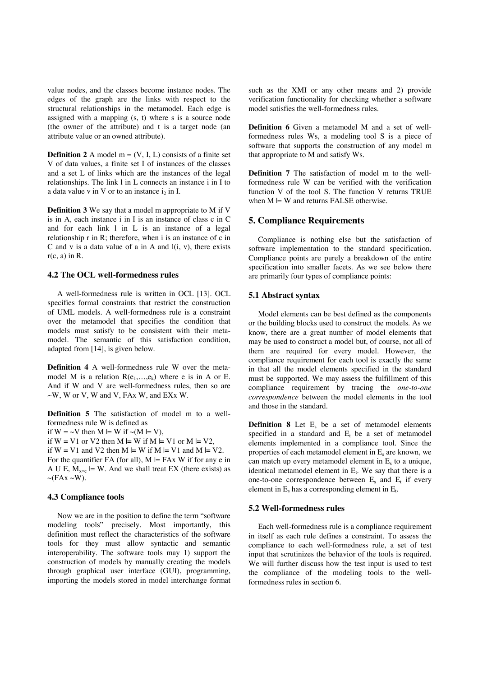value nodes, and the classes become instance nodes. The edges of the graph are the links with respect to the structural relationships in the metamodel. Each edge is assigned with a mapping (s, t) where s is a source node (the owner of the attribute) and t is a target node (an attribute value or an owned attribute).

**Definition** 2 A model  $m = (V, I, L)$  consists of a finite set V of data values, a finite set I of instances of the classes and a set L of links which are the instances of the legal relationships. The link l in L connects an instance i in I to a data value v in V or to an instance  $i<sub>2</sub>$  in I.

**Definition 3** We say that a model m appropriate to M if V is in A, each instance i in I is an instance of class c in C and for each link l in L is an instance of a legal relationship r in R; therefore, when i is an instance of c in C and v is a data value of a in A and  $l(i, v)$ , there exists  $r(c, a)$  in R.

## **4.2 The OCL well-formedness rules**

A well-formedness rule is written in OCL [13]. OCL specifies formal constraints that restrict the construction of UML models. A well-formedness rule is a constraint over the metamodel that specifies the condition that models must satisfy to be consistent with their metamodel. The semantic of this satisfaction condition, adapted from [14], is given below.

**Definition 4** A well-formedness rule W over the metamodel M is a relation  $R(e_1,...,e_k)$  where e is in A or E. And if W and V are well-formedness rules, then so are  $\sim$ W, W or V, W and V, FAx W, and EXx W.

**Definition 5** The satisfaction of model m to a wellformedness rule W is defined as if  $W = \neg V$  then  $M \models W$  if  $\neg(M \models V)$ , if  $W = V1$  or  $V2$  then  $M \models W$  if  $M \models V1$  or  $M \models V2$ , if  $W = V1$  and  $V2$  then  $M \models W$  if  $M \models V1$  and  $M \models V2$ . For the quantifier FA (for all),  $M \models FAx$  W if for any e in A U E,  $M_{x=e}$  = W. And we shall treat EX (there exists) as

## **4.3 Compliance tools**

 $\sim$ (FAx  $\sim$ W).

Now we are in the position to define the term "software modeling tools" precisely. Most importantly, this definition must reflect the characteristics of the software tools for they must allow syntactic and semantic interoperability. The software tools may 1) support the construction of models by manually creating the models through graphical user interface (GUI), programming, importing the models stored in model interchange format such as the XMI or any other means and 2) provide verification functionality for checking whether a software model satisfies the well-formedness rules.

**Definition 6** Given a metamodel M and a set of wellformedness rules Ws, a modeling tool S is a piece of software that supports the construction of any model m that appropriate to M and satisfy Ws.

**Definition 7** The satisfaction of model m to the wellformedness rule W can be verified with the verification function V of the tool S. The function V returns TRUE when  $M \models W$  and returns FALSE otherwise.

## **5. Compliance Requirements**

Compliance is nothing else but the satisfaction of software implementation to the standard specification. Compliance points are purely a breakdown of the entire specification into smaller facets. As we see below there are primarily four types of compliance points:

## **5.1 Abstract syntax**

Model elements can be best defined as the components or the building blocks used to construct the models. As we know, there are a great number of model elements that may be used to construct a model but, of course, not all of them are required for every model. However, the compliance requirement for each tool is exactly the same in that all the model elements specified in the standard must be supported. We may assess the fulfillment of this compliance requirement by tracing the *one-to-one correspondence* between the model elements in the tool and those in the standard.

**Definition 8** Let  $E_s$  be a set of metamodel elements specified in a standard and  $E_t$  be a set of metamodel elements implemented in a compliance tool. Since the properties of each metamodel element in  $E_s$  are known, we can match up every metamodel element in  $E<sub>s</sub>$  to a unique, identical metamodel element in  $E_t$ . We say that there is a one-to-one correspondence between  $E_s$  and  $E_t$  if every element in  $E_s$  has a corresponding element in  $E_t$ .

## **5.2 Well-formedness rules**

Each well-formedness rule is a compliance requirement in itself as each rule defines a constraint. To assess the compliance to each well-formedness rule, a set of test input that scrutinizes the behavior of the tools is required. We will further discuss how the test input is used to test the compliance of the modeling tools to the wellformedness rules in section 6.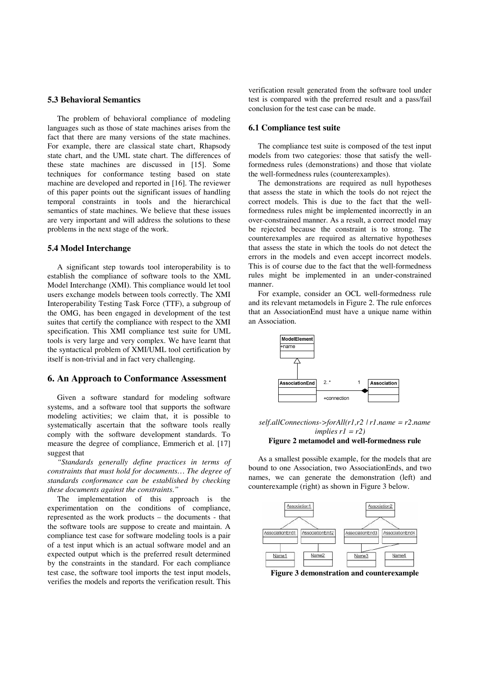## **5.3 Behavioral Semantics**

The problem of behavioral compliance of modeling languages such as those of state machines arises from the fact that there are many versions of the state machines. For example, there are classical state chart, Rhapsody state chart, and the UML state chart. The differences of these state machines are discussed in [15]. Some techniques for conformance testing based on state machine are developed and reported in [16]. The reviewer of this paper points out the significant issues of handling temporal constraints in tools and the hierarchical semantics of state machines. We believe that these issues are very important and will address the solutions to these problems in the next stage of the work.

#### **5.4 Model Interchange**

A significant step towards tool interoperability is to establish the compliance of software tools to the XML Model Interchange (XMI). This compliance would let tool users exchange models between tools correctly. The XMI Interoperability Testing Task Force (TTF), a subgroup of the OMG, has been engaged in development of the test suites that certify the compliance with respect to the XMI specification. This XMI compliance test suite for UML tools is very large and very complex. We have learnt that the syntactical problem of XMI/UML tool certification by itself is non-trivial and in fact very challenging.

## **6. An Approach to Conformance Assessment**

Given a software standard for modeling software systems, and a software tool that supports the software modeling activities; we claim that, it is possible to systematically ascertain that the software tools really comply with the software development standards. To measure the degree of compliance, Emmerich et al. [17] suggest that

*"Standards generally define practices in terms of constraints that must hold for documents… The degree of standards conformance can be established by checking these documents against the constraints."*

The implementation of this approach is the experimentation on the conditions of compliance, represented as the work products – the documents - that the software tools are suppose to create and maintain. A compliance test case for software modeling tools is a pair of a test input which is an actual software model and an expected output which is the preferred result determined by the constraints in the standard. For each compliance test case, the software tool imports the test input models, verifies the models and reports the verification result. This

verification result generated from the software tool under test is compared with the preferred result and a pass/fail conclusion for the test case can be made.

#### **6.1 Compliance test suite**

The compliance test suite is composed of the test input models from two categories: those that satisfy the wellformedness rules (demonstrations) and those that violate the well-formedness rules (counterexamples).

The demonstrations are required as null hypotheses that assess the state in which the tools do not reject the correct models. This is due to the fact that the wellformedness rules might be implemented incorrectly in an over-constrained manner. As a result, a correct model may be rejected because the constraint is to strong. The counterexamples are required as alternative hypotheses that assess the state in which the tools do not detect the errors in the models and even accept incorrect models. This is of course due to the fact that the well-formedness rules might be implemented in an under-constrained manner.

For example, consider an OCL well-formedness rule and its relevant metamodels in Figure 2. The rule enforces that an AssociationEnd must have a unique name within an Association.



*self.allConnections->forAll(r1,r2 | r1.name = r2.name implies r1 = r2)*

# **Figure 2 metamodel and well-formedness rule**

As a smallest possible example, for the models that are bound to one Association, two AssociationEnds, and two names, we can generate the demonstration (left) and counterexample (right) as shown in Figure 3 below.



**Figure 3 demonstration and counterexample**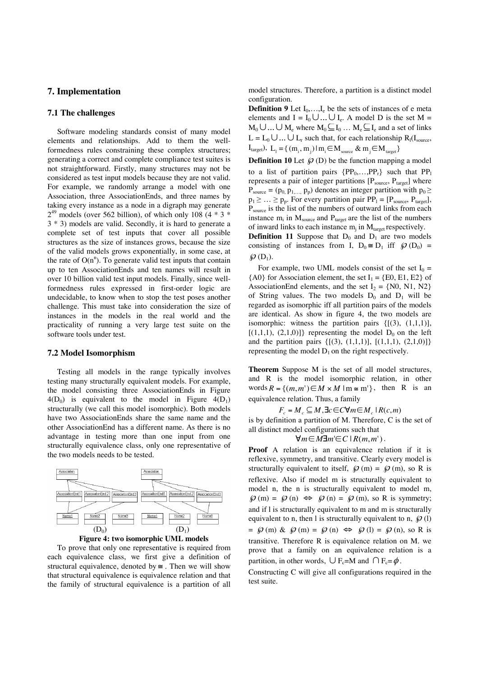# **7. Implementation**

## **7.1 The challenges**

Software modeling standards consist of many model elements and relationships. Add to them the wellformedness rules constraining these complex structures; generating a correct and complete compliance test suites is not straightforward. Firstly, many structures may not be considered as test input models because they are not valid. For example, we randomly arrange a model with one Association, three AssociationEnds, and three names by taking every instance as a node in a digraph may generate  $2^{49}$  models (over 562 billion), of which only 108 (4  $*$  3  $*$ 3 \* 3) models are valid. Secondly, it is hard to generate a complete set of test inputs that cover all possible structures as the size of instances grows, because the size of the valid models grows exponentially, in some case, at the rate of  $O(n^n)$ . To generate valid test inputs that contain up to ten AssociationEnds and ten names will result in over 10 billion valid test input models. Finally, since wellformedness rules expressed in first-order logic are undecidable, to know when to stop the test poses another challenge. This must take into consideration the size of instances in the models in the real world and the practicality of running a very large test suite on the software tools under test.

#### **7.2 Model Isomorphism**

Testing all models in the range typically involves testing many structurally equivalent models. For example, the model consisting three AssociationEnds in Figure  $4(D_0)$  is equivalent to the model in Figure  $4(D_1)$ structurally (we call this model isomorphic). Both models have two AssociationEnds share the same name and the other AssociationEnd has a different name. As there is no advantage in testing more than one input from one structurally equivalence class, only one representative of the two models needs to be tested.





To prove that only one representative is required from each equivalence class, we first give a definition of structural equivalence, denoted by  $\cong$ . Then we will show that structural equivalence is equivalence relation and that the family of structural equivalence is a partition of all model structures. Therefore, a partition is a distinct model configuration.

**Definition 9** Let  $I_0, \ldots, I_e$  be the sets of instances of e meta elements and  $I = I_0 \cup ... \cup I_e$ . A model D is the set M =  $M_0 \cup ... \cup M_e$  where  $M_0 \subseteq I_0 ... M_e \subseteq I_e$  and a set of links  $L = L_0 \cup ... \cup L_r$  such that, for each relationship  $R_1(I_{\text{source}},$  $I_{\text{target}}$ ),  $L_1 = \{ (m_i, m_j) | m_i \in M_{\text{source}} \& m_j \in M_{\text{target}} \}$ 

**Definition 10** Let  $\mathcal{D}$  (D) be the function mapping a model to a list of partition pairs  ${PP_0, \ldots, PP_r}$  such that PP represents a pair of integer partitions  $[P_{source}, P_{target}]$  where  $P_{source} = (p_0, p_1, \dots, p_p)$  denotes an integer partition with  $p_0 \geq$  $p_1 \geq \ldots \geq p_p$ . For every partition pair  $PP_1 = [P_{source}, P_{target}]$ ,  $P_{source}$  is the list of the numbers of outward links from each instance  $m_i$  in  $M_{source}$  and  $P_{target}$  are the list of the numbers of inward links to each instance  $m_i$  in  $M_{\text{target}}$  respectively.

**Definition 11** Suppose that  $D_0$  and  $D_1$  are two models consisting of instances from I,  $D_0 \cong D_1$  iff  $\mathcal{D}(D_0) =$  $\mathcal{D}(D_1)$ .

For example, two UML models consist of the set  $I_0 =$  ${AO}$  for Association element, the set  $I_1 = {EO, E1, E2}$  of AssociationEnd elements, and the set  $I_2 = \{N0, N1, N2\}$ of String values. The two models  $D_0$  and  $D_1$  will be regarded as isomorphic iff all partition pairs of the models are identical. As show in figure 4, the two models are isomorphic: witness the partition pairs  $\{[(3), (1,1,1)],\}$  $[(1,1,1), (2,1,0)]$ } representing the model D<sub>0</sub> on the left and the partition pairs  $\{[(3), (1,1,1)], [(1,1,1), (2,1,0)]\}$ representing the model  $D_1$  on the right respectively.

**Theorem** Suppose M is the set of all model structures, and R is the model isomorphic relation, in other words  $R = \{(m, m') \in M \times M \mid m \le m'\}$ , then R is an equivalence relation. Thus, a family

 $F_c = M_c \subseteq M$ ,  $\exists c \in C \forall m \in M_c \mid R(c, m)$ 

is by definition a partition of M. Therefore, C is the set of all distinct model configurations such that

 $\forall m \in M \exists m \in C \mid R(m, m^{\prime}).$ 

**Proof** A relation is an equivalence relation if it is reflexive, symmetry, and transitive. Clearly every model is structurally equivalent to itself,  $\mathcal{D}(m) = \mathcal{D}(m)$ , so R is reflexive. Also if model m is structurally equivalent to model n, the n is structurally equivalent to model m,  $\varphi$  (m) =  $\varphi$  (n)  $\Leftrightarrow$   $\varphi$  (n) =  $\varphi$  (m), so R is symmetry; and if l is structurally equivalent to m and m is structurally equivalent to n, then l is structurally equivalent to n,  $\mathcal{D}(l)$  $= \mathcal{D}(m) \& \mathcal{D}(m) = \mathcal{D}(n) \Leftrightarrow \mathcal{D}(l) = \mathcal{D}(n)$ , so R is transitive. Therefore R is equivalence relation on M. we prove that a family on an equivalence relation is a partition, in other words,  $\bigcup F_c=M$  and  $\bigcap F_c=\phi$ .

Constructing C will give all configurations required in the test suite.